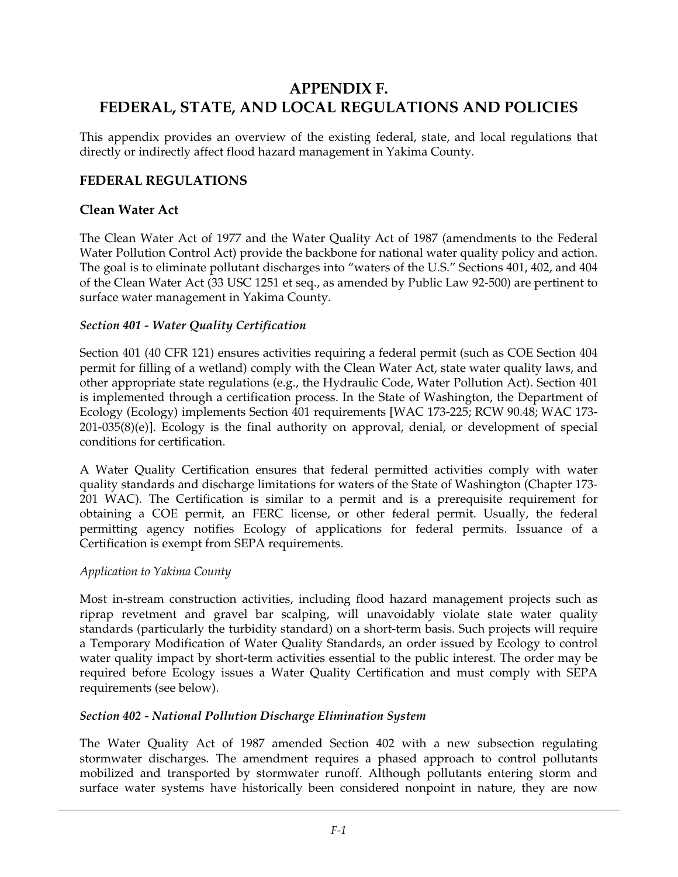# **APPENDIX F. FEDERAL, STATE, AND LOCAL REGULATIONS AND POLICIES**

This appendix provides an overview of the existing federal, state, and local regulations that directly or indirectly affect flood hazard management in Yakima County.

#### **FEDERAL REGULATIONS**

#### **Clean Water Act**

The Clean Water Act of 1977 and the Water Quality Act of 1987 (amendments to the Federal Water Pollution Control Act) provide the backbone for national water quality policy and action. The goal is to eliminate pollutant discharges into "waters of the U.S." Sections 401, 402, and 404 of the Clean Water Act (33 USC 1251 et seq., as amended by Public Law 92-500) are pertinent to surface water management in Yakima County.

#### *Section 401 - Water Quality Certification*

Section 401 (40 CFR 121) ensures activities requiring a federal permit (such as COE Section 404 permit for filling of a wetland) comply with the Clean Water Act, state water quality laws, and other appropriate state regulations (e.g., the Hydraulic Code, Water Pollution Act). Section 401 is implemented through a certification process. In the State of Washington, the Department of Ecology (Ecology) implements Section 401 requirements [WAC 173-225; RCW 90.48; WAC 173- 201-035(8)(e)]. Ecology is the final authority on approval, denial, or development of special conditions for certification.

A Water Quality Certification ensures that federal permitted activities comply with water quality standards and discharge limitations for waters of the State of Washington (Chapter 173- 201 WAC). The Certification is similar to a permit and is a prerequisite requirement for obtaining a COE permit, an FERC license, or other federal permit. Usually, the federal permitting agency notifies Ecology of applications for federal permits. Issuance of a Certification is exempt from SEPA requirements.

#### *Application to Yakima County*

Most in-stream construction activities, including flood hazard management projects such as riprap revetment and gravel bar scalping, will unavoidably violate state water quality standards (particularly the turbidity standard) on a short-term basis. Such projects will require a Temporary Modification of Water Quality Standards, an order issued by Ecology to control water quality impact by short-term activities essential to the public interest. The order may be required before Ecology issues a Water Quality Certification and must comply with SEPA requirements (see below).

#### *Section 402 - National Pollution Discharge Elimination System*

The Water Quality Act of 1987 amended Section 402 with a new subsection regulating stormwater discharges. The amendment requires a phased approach to control pollutants mobilized and transported by stormwater runoff. Although pollutants entering storm and surface water systems have historically been considered nonpoint in nature, they are now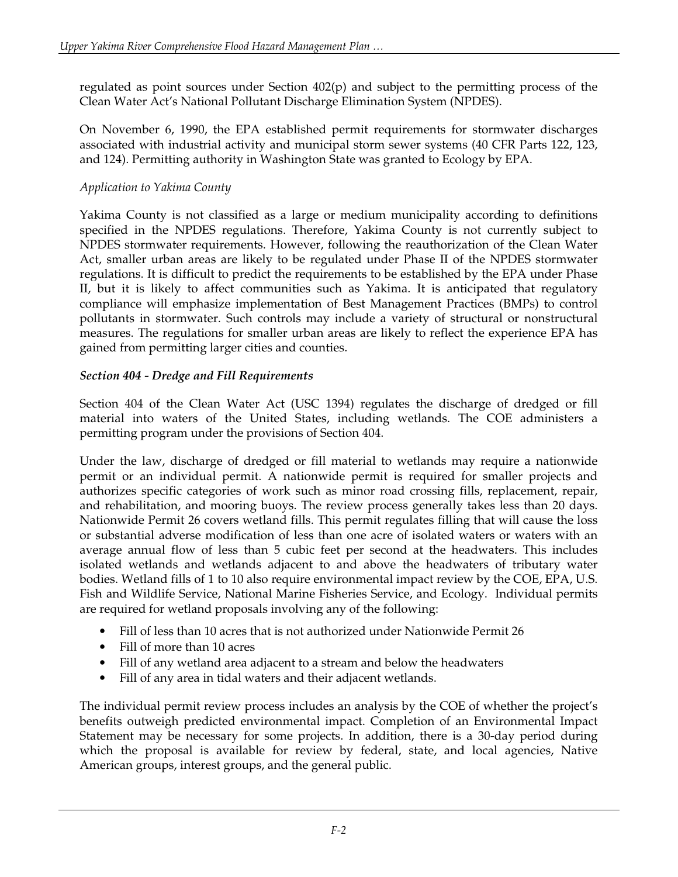regulated as point sources under Section 402(p) and subject to the permitting process of the Clean Water Act's National Pollutant Discharge Elimination System (NPDES).

On November 6, 1990, the EPA established permit requirements for stormwater discharges associated with industrial activity and municipal storm sewer systems (40 CFR Parts 122, 123, and 124). Permitting authority in Washington State was granted to Ecology by EPA.

### *Application to Yakima County*

Yakima County is not classified as a large or medium municipality according to definitions specified in the NPDES regulations. Therefore, Yakima County is not currently subject to NPDES stormwater requirements. However, following the reauthorization of the Clean Water Act, smaller urban areas are likely to be regulated under Phase II of the NPDES stormwater regulations. It is difficult to predict the requirements to be established by the EPA under Phase II, but it is likely to affect communities such as Yakima. It is anticipated that regulatory compliance will emphasize implementation of Best Management Practices (BMPs) to control pollutants in stormwater. Such controls may include a variety of structural or nonstructural measures. The regulations for smaller urban areas are likely to reflect the experience EPA has gained from permitting larger cities and counties.

### *Section 404 - Dredge and Fill Requirements*

Section 404 of the Clean Water Act (USC 1394) regulates the discharge of dredged or fill material into waters of the United States, including wetlands. The COE administers a permitting program under the provisions of Section 404.

Under the law, discharge of dredged or fill material to wetlands may require a nationwide permit or an individual permit. A nationwide permit is required for smaller projects and authorizes specific categories of work such as minor road crossing fills, replacement, repair, and rehabilitation, and mooring buoys. The review process generally takes less than 20 days. Nationwide Permit 26 covers wetland fills. This permit regulates filling that will cause the loss or substantial adverse modification of less than one acre of isolated waters or waters with an average annual flow of less than 5 cubic feet per second at the headwaters. This includes isolated wetlands and wetlands adjacent to and above the headwaters of tributary water bodies. Wetland fills of 1 to 10 also require environmental impact review by the COE, EPA, U.S. Fish and Wildlife Service, National Marine Fisheries Service, and Ecology. Individual permits are required for wetland proposals involving any of the following:

- Fill of less than 10 acres that is not authorized under Nationwide Permit 26
- Fill of more than 10 acres
- Fill of any wetland area adjacent to a stream and below the headwaters
- Fill of any area in tidal waters and their adjacent wetlands.

The individual permit review process includes an analysis by the COE of whether the project's benefits outweigh predicted environmental impact. Completion of an Environmental Impact Statement may be necessary for some projects. In addition, there is a 30-day period during which the proposal is available for review by federal, state, and local agencies, Native American groups, interest groups, and the general public.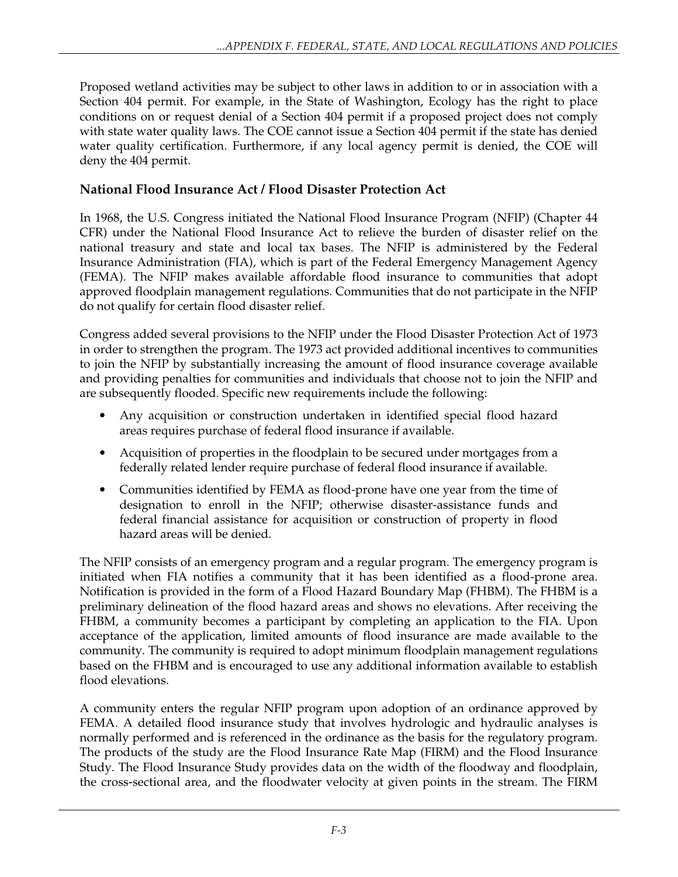Proposed wetland activities may be subject to other laws in addition to or in association with a Section 404 permit. For example, in the State of Washington, Ecology has the right to place conditions on or request denial of a Section 404 permit if a proposed project does not comply with state water quality laws. The COE cannot issue a Section 404 permit if the state has denied water quality certification. Furthermore, if any local agency permit is denied, the COE will deny the 404 permit.

## **National Flood Insurance Act / Flood Disaster Protection Act**

In 1968, the U.S. Congress initiated the National Flood Insurance Program (NFIP) (Chapter 44 CFR) under the National Flood Insurance Act to relieve the burden of disaster relief on the national treasury and state and local tax bases. The NFIP is administered by the Federal Insurance Administration (FIA), which is part of the Federal Emergency Management Agency (FEMA). The NFIP makes available affordable flood insurance to communities that adopt approved floodplain management regulations. Communities that do not participate in the NFIP do not qualify for certain flood disaster relief.

Congress added several provisions to the NFIP under the Flood Disaster Protection Act of 1973 in order to strengthen the program. The 1973 act provided additional incentives to communities to join the NFIP by substantially increasing the amount of flood insurance coverage available and providing penalties for communities and individuals that choose not to join the NFIP and are subsequently flooded. Specific new requirements include the following:

- Any acquisition or construction undertaken in identified special flood hazard areas requires purchase of federal flood insurance if available.
- Acquisition of properties in the floodplain to be secured under mortgages from a federally related lender require purchase of federal flood insurance if available.
- Communities identified by FEMA as flood-prone have one year from the time of designation to enroll in the NFIP; otherwise disaster-assistance funds and federal financial assistance for acquisition or construction of property in flood hazard areas will be denied.

The NFIP consists of an emergency program and a regular program. The emergency program is initiated when FIA notifies a community that it has been identified as a flood-prone area. Notification is provided in the form of a Flood Hazard Boundary Map (FHBM). The FHBM is a preliminary delineation of the flood hazard areas and shows no elevations. After receiving the FHBM, a community becomes a participant by completing an application to the FIA. Upon acceptance of the application, limited amounts of flood insurance are made available to the community. The community is required to adopt minimum floodplain management regulations based on the FHBM and is encouraged to use any additional information available to establish flood elevations.

A community enters the regular NFIP program upon adoption of an ordinance approved by FEMA. A detailed flood insurance study that involves hydrologic and hydraulic analyses is normally performed and is referenced in the ordinance as the basis for the regulatory program. The products of the study are the Flood Insurance Rate Map (FIRM) and the Flood Insurance Study. The Flood Insurance Study provides data on the width of the floodway and floodplain, the cross-sectional area, and the floodwater velocity at given points in the stream. The FIRM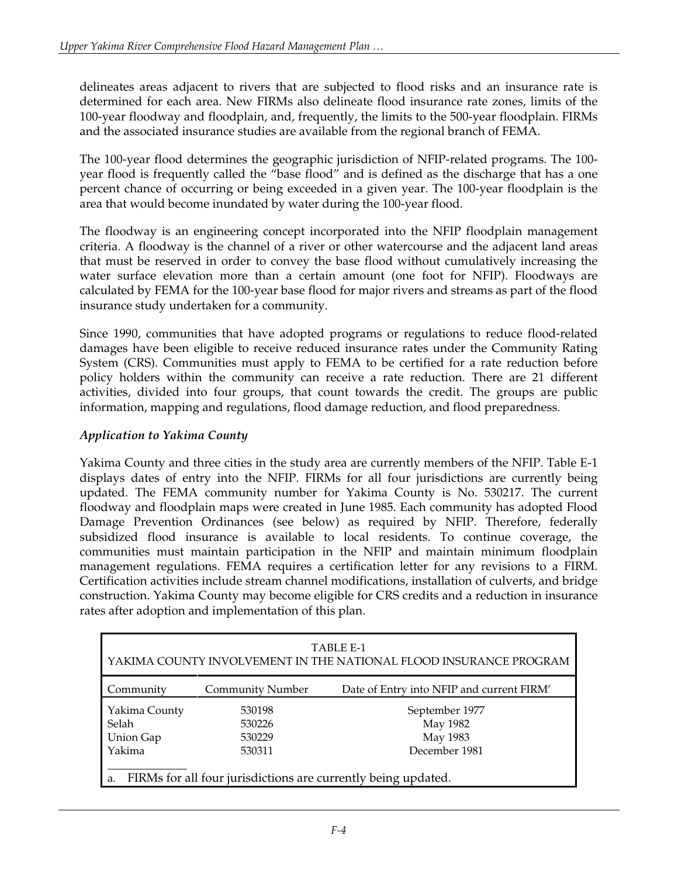delineates areas adjacent to rivers that are subjected to flood risks and an insurance rate is determined for each area. New FIRMs also delineate flood insurance rate zones, limits of the 100-year floodway and floodplain, and, frequently, the limits to the 500-year floodplain. FIRMs and the associated insurance studies are available from the regional branch of FEMA.

The 100-year flood determines the geographic jurisdiction of NFIP-related programs. The 100 year flood is frequently called the "base flood" and is defined as the discharge that has a one percent chance of occurring or being exceeded in a given year. The 100-year floodplain is the area that would become inundated by water during the 100-year flood.

The floodway is an engineering concept incorporated into the NFIP floodplain management criteria. A floodway is the channel of a river or other watercourse and the adjacent land areas that must be reserved in order to convey the base flood without cumulatively increasing the water surface elevation more than a certain amount (one foot for NFIP). Floodways are calculated by FEMA for the 100-year base flood for major rivers and streams as part of the flood insurance study undertaken for a community.

Since 1990, communities that have adopted programs or regulations to reduce flood-related damages have been eligible to receive reduced insurance rates under the Community Rating System (CRS). Communities must apply to FEMA to be certified for a rate reduction before policy holders within the community can receive a rate reduction. There are 21 different activities, divided into four groups, that count towards the credit. The groups are public information, mapping and regulations, flood damage reduction, and flood preparedness.

### *Application to Yakima County*

Yakima County and three cities in the study area are currently members of the NFIP. Table E-1 displays dates of entry into the NFIP. FIRMs for all four jurisdictions are currently being updated. The FEMA community number for Yakima County is No. 530217. The current floodway and floodplain maps were created in June 1985. Each community has adopted Flood Damage Prevention Ordinances (see below) as required by NFIP. Therefore, federally subsidized flood insurance is available to local residents. To continue coverage, the communities must maintain participation in the NFIP and maintain minimum floodplain management regulations. FEMA requires a certification letter for any revisions to a FIRM. Certification activities include stream channel modifications, installation of culverts, and bridge construction. Yakima County may become eligible for CRS credits and a reduction in insurance rates after adoption and implementation of this plan.

| TABLE E-1<br>YAKIMA COUNTY INVOLVEMENT IN THE NATIONAL FLOOD INSURANCE PROGRAM                           |                            |                                                       |
|----------------------------------------------------------------------------------------------------------|----------------------------|-------------------------------------------------------|
| Community                                                                                                | <b>Community Number</b>    | Date of Entry into NFIP and current FIRM <sup>a</sup> |
| Yakima County<br>Selah<br><b>Union Gap</b>                                                               | 530198<br>530226<br>530229 | September 1977<br>May 1982<br>May 1983                |
| December 1981<br>Yakima<br>530311<br>FIRMs for all four jurisdictions are currently being updated.<br>a. |                            |                                                       |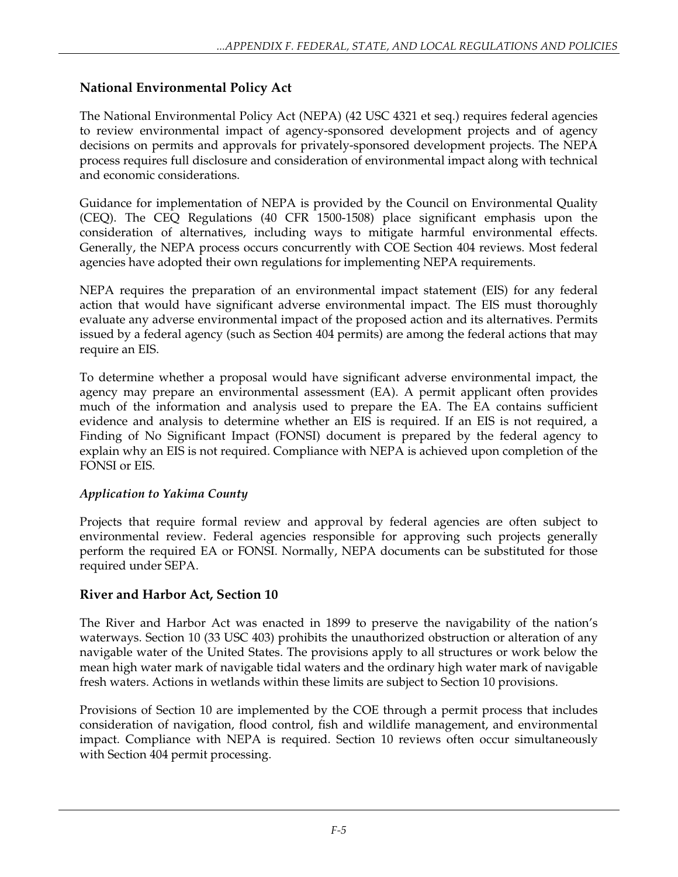## **National Environmental Policy Act**

The National Environmental Policy Act (NEPA) (42 USC 4321 et seq.) requires federal agencies to review environmental impact of agency-sponsored development projects and of agency decisions on permits and approvals for privately-sponsored development projects. The NEPA process requires full disclosure and consideration of environmental impact along with technical and economic considerations.

Guidance for implementation of NEPA is provided by the Council on Environmental Quality (CEQ). The CEQ Regulations (40 CFR 1500-1508) place significant emphasis upon the consideration of alternatives, including ways to mitigate harmful environmental effects. Generally, the NEPA process occurs concurrently with COE Section 404 reviews. Most federal agencies have adopted their own regulations for implementing NEPA requirements.

NEPA requires the preparation of an environmental impact statement (EIS) for any federal action that would have significant adverse environmental impact. The EIS must thoroughly evaluate any adverse environmental impact of the proposed action and its alternatives. Permits issued by a federal agency (such as Section 404 permits) are among the federal actions that may require an EIS.

To determine whether a proposal would have significant adverse environmental impact, the agency may prepare an environmental assessment (EA). A permit applicant often provides much of the information and analysis used to prepare the EA. The EA contains sufficient evidence and analysis to determine whether an EIS is required. If an EIS is not required, a Finding of No Significant Impact (FONSI) document is prepared by the federal agency to explain why an EIS is not required. Compliance with NEPA is achieved upon completion of the FONSI or EIS.

### *Application to Yakima County*

Projects that require formal review and approval by federal agencies are often subject to environmental review. Federal agencies responsible for approving such projects generally perform the required EA or FONSI. Normally, NEPA documents can be substituted for those required under SEPA.

## **River and Harbor Act, Section 10**

The River and Harbor Act was enacted in 1899 to preserve the navigability of the nation's waterways. Section 10 (33 USC 403) prohibits the unauthorized obstruction or alteration of any navigable water of the United States. The provisions apply to all structures or work below the mean high water mark of navigable tidal waters and the ordinary high water mark of navigable fresh waters. Actions in wetlands within these limits are subject to Section 10 provisions.

Provisions of Section 10 are implemented by the COE through a permit process that includes consideration of navigation, flood control, fish and wildlife management, and environmental impact. Compliance with NEPA is required. Section 10 reviews often occur simultaneously with Section 404 permit processing.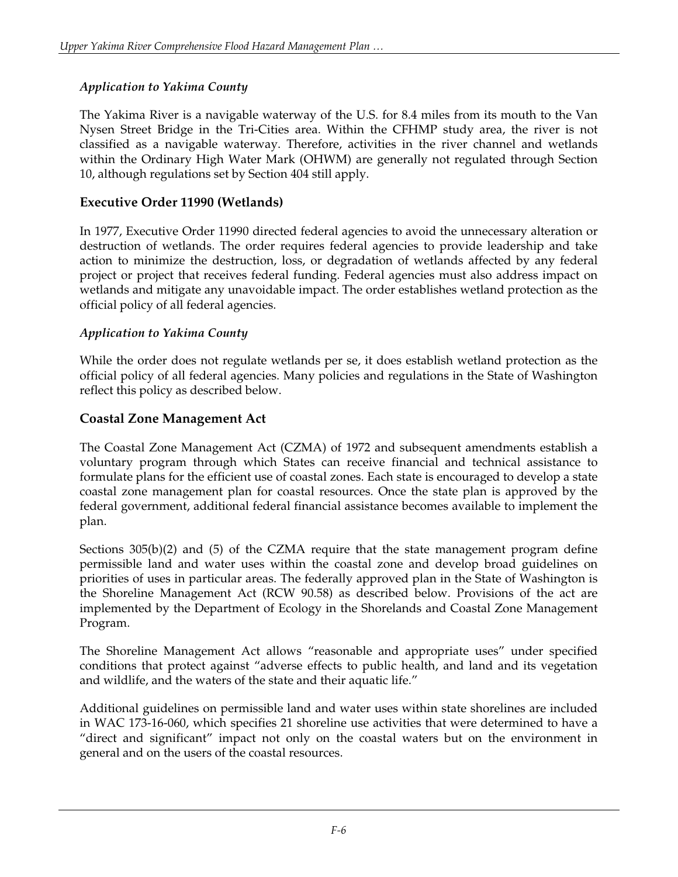### *Application to Yakima County*

The Yakima River is a navigable waterway of the U.S. for 8.4 miles from its mouth to the Van Nysen Street Bridge in the Tri-Cities area. Within the CFHMP study area, the river is not classified as a navigable waterway. Therefore, activities in the river channel and wetlands within the Ordinary High Water Mark (OHWM) are generally not regulated through Section 10, although regulations set by Section 404 still apply.

#### **Executive Order 11990 (Wetlands)**

In 1977, Executive Order 11990 directed federal agencies to avoid the unnecessary alteration or destruction of wetlands. The order requires federal agencies to provide leadership and take action to minimize the destruction, loss, or degradation of wetlands affected by any federal project or project that receives federal funding. Federal agencies must also address impact on wetlands and mitigate any unavoidable impact. The order establishes wetland protection as the official policy of all federal agencies.

#### *Application to Yakima County*

While the order does not regulate wetlands per se, it does establish wetland protection as the official policy of all federal agencies. Many policies and regulations in the State of Washington reflect this policy as described below.

### **Coastal Zone Management Act**

The Coastal Zone Management Act (CZMA) of 1972 and subsequent amendments establish a voluntary program through which States can receive financial and technical assistance to formulate plans for the efficient use of coastal zones. Each state is encouraged to develop a state coastal zone management plan for coastal resources. Once the state plan is approved by the federal government, additional federal financial assistance becomes available to implement the plan.

Sections 305(b)(2) and (5) of the CZMA require that the state management program define permissible land and water uses within the coastal zone and develop broad guidelines on priorities of uses in particular areas. The federally approved plan in the State of Washington is the Shoreline Management Act (RCW 90.58) as described below. Provisions of the act are implemented by the Department of Ecology in the Shorelands and Coastal Zone Management Program.

The Shoreline Management Act allows "reasonable and appropriate uses" under specified conditions that protect against "adverse effects to public health, and land and its vegetation and wildlife, and the waters of the state and their aquatic life."

Additional guidelines on permissible land and water uses within state shorelines are included in WAC 173-16-060, which specifies 21 shoreline use activities that were determined to have a "direct and significant" impact not only on the coastal waters but on the environment in general and on the users of the coastal resources.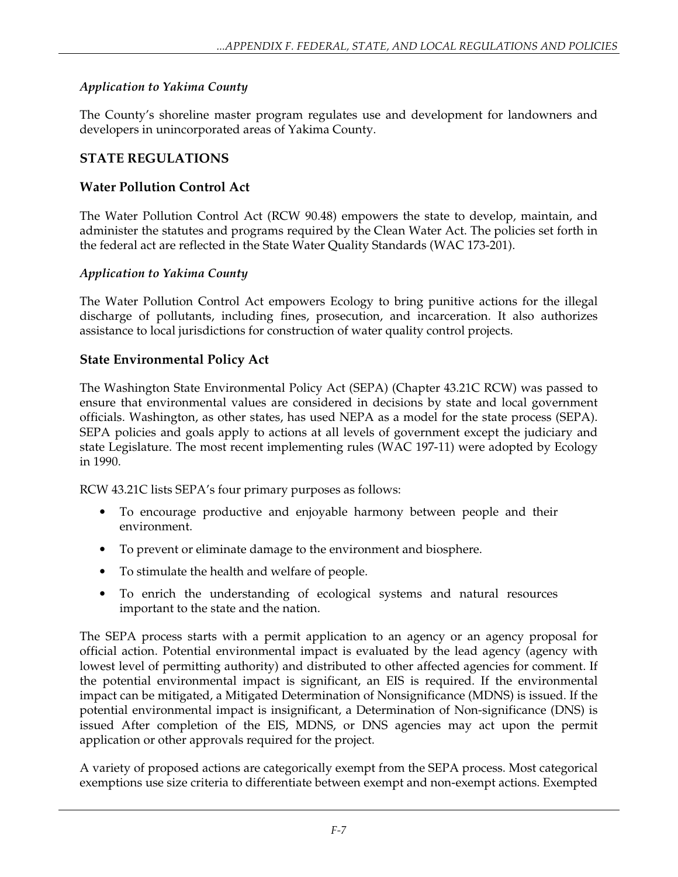### *Application to Yakima County*

The County's shoreline master program regulates use and development for landowners and developers in unincorporated areas of Yakima County.

## **STATE REGULATIONS**

### **Water Pollution Control Act**

The Water Pollution Control Act (RCW 90.48) empowers the state to develop, maintain, and administer the statutes and programs required by the Clean Water Act. The policies set forth in the federal act are reflected in the State Water Quality Standards (WAC 173-201).

### *Application to Yakima County*

The Water Pollution Control Act empowers Ecology to bring punitive actions for the illegal discharge of pollutants, including fines, prosecution, and incarceration. It also authorizes assistance to local jurisdictions for construction of water quality control projects.

### **State Environmental Policy Act**

The Washington State Environmental Policy Act (SEPA) (Chapter 43.21C RCW) was passed to ensure that environmental values are considered in decisions by state and local government officials. Washington, as other states, has used NEPA as a model for the state process (SEPA). SEPA policies and goals apply to actions at all levels of government except the judiciary and state Legislature. The most recent implementing rules (WAC 197-11) were adopted by Ecology in 1990.

RCW 43.21C lists SEPA's four primary purposes as follows:

- To encourage productive and enjoyable harmony between people and their environment.
- To prevent or eliminate damage to the environment and biosphere.
- To stimulate the health and welfare of people.
- To enrich the understanding of ecological systems and natural resources important to the state and the nation.

The SEPA process starts with a permit application to an agency or an agency proposal for official action. Potential environmental impact is evaluated by the lead agency (agency with lowest level of permitting authority) and distributed to other affected agencies for comment. If the potential environmental impact is significant, an EIS is required. If the environmental impact can be mitigated, a Mitigated Determination of Nonsignificance (MDNS) is issued. If the potential environmental impact is insignificant, a Determination of Non-significance (DNS) is issued After completion of the EIS, MDNS, or DNS agencies may act upon the permit application or other approvals required for the project.

A variety of proposed actions are categorically exempt from the SEPA process. Most categorical exemptions use size criteria to differentiate between exempt and non-exempt actions. Exempted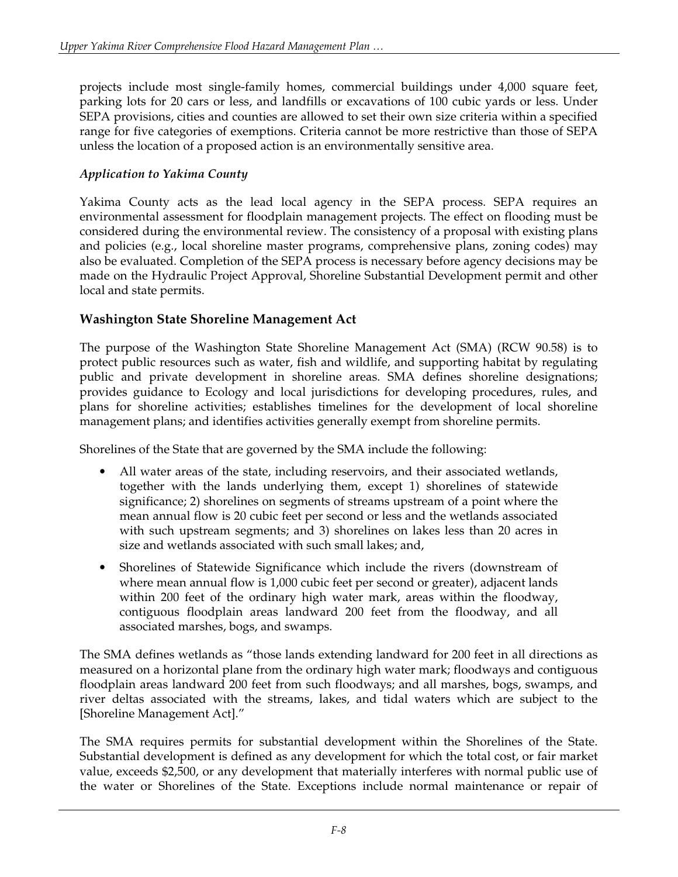projects include most single-family homes, commercial buildings under 4,000 square feet, parking lots for 20 cars or less, and landfills or excavations of 100 cubic yards or less. Under SEPA provisions, cities and counties are allowed to set their own size criteria within a specified range for five categories of exemptions. Criteria cannot be more restrictive than those of SEPA unless the location of a proposed action is an environmentally sensitive area.

### *Application to Yakima County*

Yakima County acts as the lead local agency in the SEPA process. SEPA requires an environmental assessment for floodplain management projects. The effect on flooding must be considered during the environmental review. The consistency of a proposal with existing plans and policies (e.g., local shoreline master programs, comprehensive plans, zoning codes) may also be evaluated. Completion of the SEPA process is necessary before agency decisions may be made on the Hydraulic Project Approval, Shoreline Substantial Development permit and other local and state permits.

## **Washington State Shoreline Management Act**

The purpose of the Washington State Shoreline Management Act (SMA) (RCW 90.58) is to protect public resources such as water, fish and wildlife, and supporting habitat by regulating public and private development in shoreline areas. SMA defines shoreline designations; provides guidance to Ecology and local jurisdictions for developing procedures, rules, and plans for shoreline activities; establishes timelines for the development of local shoreline management plans; and identifies activities generally exempt from shoreline permits.

Shorelines of the State that are governed by the SMA include the following:

- All water areas of the state, including reservoirs, and their associated wetlands, together with the lands underlying them, except 1) shorelines of statewide significance; 2) shorelines on segments of streams upstream of a point where the mean annual flow is 20 cubic feet per second or less and the wetlands associated with such upstream segments; and 3) shorelines on lakes less than 20 acres in size and wetlands associated with such small lakes; and,
- Shorelines of Statewide Significance which include the rivers (downstream of where mean annual flow is 1,000 cubic feet per second or greater), adjacent lands within 200 feet of the ordinary high water mark, areas within the floodway, contiguous floodplain areas landward 200 feet from the floodway, and all associated marshes, bogs, and swamps.

The SMA defines wetlands as "those lands extending landward for 200 feet in all directions as measured on a horizontal plane from the ordinary high water mark; floodways and contiguous floodplain areas landward 200 feet from such floodways; and all marshes, bogs, swamps, and river deltas associated with the streams, lakes, and tidal waters which are subject to the [Shoreline Management Act]."

The SMA requires permits for substantial development within the Shorelines of the State. Substantial development is defined as any development for which the total cost, or fair market value, exceeds \$2,500, or any development that materially interferes with normal public use of the water or Shorelines of the State. Exceptions include normal maintenance or repair of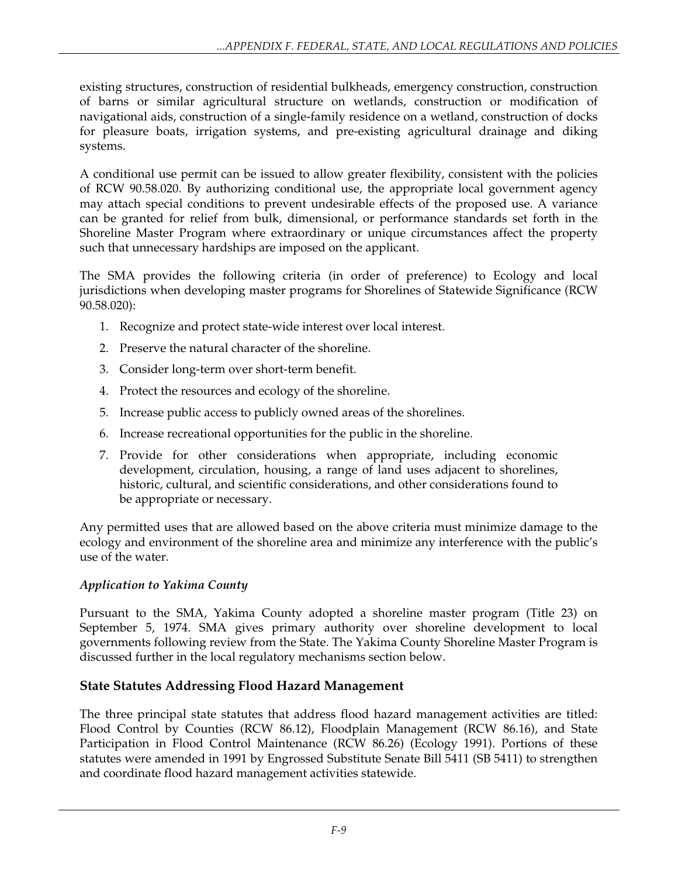existing structures, construction of residential bulkheads, emergency construction, construction of barns or similar agricultural structure on wetlands, construction or modification of navigational aids, construction of a single-family residence on a wetland, construction of docks for pleasure boats, irrigation systems, and pre-existing agricultural drainage and diking systems.

A conditional use permit can be issued to allow greater flexibility, consistent with the policies of RCW 90.58.020. By authorizing conditional use, the appropriate local government agency may attach special conditions to prevent undesirable effects of the proposed use. A variance can be granted for relief from bulk, dimensional, or performance standards set forth in the Shoreline Master Program where extraordinary or unique circumstances affect the property such that unnecessary hardships are imposed on the applicant.

The SMA provides the following criteria (in order of preference) to Ecology and local jurisdictions when developing master programs for Shorelines of Statewide Significance (RCW 90.58.020):

- 1. Recognize and protect state-wide interest over local interest.
- 2. Preserve the natural character of the shoreline.
- 3. Consider long-term over short-term benefit.
- 4. Protect the resources and ecology of the shoreline.
- 5. Increase public access to publicly owned areas of the shorelines.
- 6. Increase recreational opportunities for the public in the shoreline.
- 7. Provide for other considerations when appropriate, including economic development, circulation, housing, a range of land uses adjacent to shorelines, historic, cultural, and scientific considerations, and other considerations found to be appropriate or necessary.

Any permitted uses that are allowed based on the above criteria must minimize damage to the ecology and environment of the shoreline area and minimize any interference with the public's use of the water.

## *Application to Yakima County*

Pursuant to the SMA, Yakima County adopted a shoreline master program (Title 23) on September 5, 1974. SMA gives primary authority over shoreline development to local governments following review from the State. The Yakima County Shoreline Master Program is discussed further in the local regulatory mechanisms section below.

## **State Statutes Addressing Flood Hazard Management**

The three principal state statutes that address flood hazard management activities are titled: Flood Control by Counties (RCW 86.12), Floodplain Management (RCW 86.16), and State Participation in Flood Control Maintenance (RCW 86.26) (Ecology 1991). Portions of these statutes were amended in 1991 by Engrossed Substitute Senate Bill 5411 (SB 5411) to strengthen and coordinate flood hazard management activities statewide.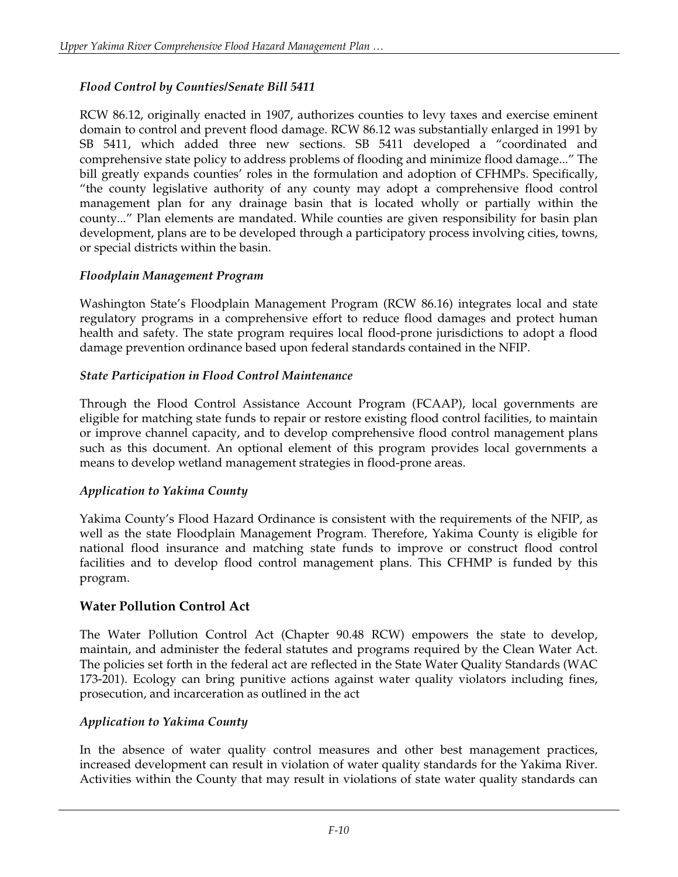### *Flood Control by Counties/Senate Bill 5411*

RCW 86.12, originally enacted in 1907, authorizes counties to levy taxes and exercise eminent domain to control and prevent flood damage. RCW 86.12 was substantially enlarged in 1991 by SB 5411, which added three new sections. SB 5411 developed a "coordinated and comprehensive state policy to address problems of flooding and minimize flood damage..." The bill greatly expands counties' roles in the formulation and adoption of CFHMPs. Specifically, "the county legislative authority of any county may adopt a comprehensive flood control management plan for any drainage basin that is located wholly or partially within the county..." Plan elements are mandated. While counties are given responsibility for basin plan development, plans are to be developed through a participatory process involving cities, towns, or special districts within the basin.

### *Floodplain Management Program*

Washington State's Floodplain Management Program (RCW 86.16) integrates local and state regulatory programs in a comprehensive effort to reduce flood damages and protect human health and safety. The state program requires local flood-prone jurisdictions to adopt a flood damage prevention ordinance based upon federal standards contained in the NFIP.

### *State Participation in Flood Control Maintenance*

Through the Flood Control Assistance Account Program (FCAAP), local governments are eligible for matching state funds to repair or restore existing flood control facilities, to maintain or improve channel capacity, and to develop comprehensive flood control management plans such as this document. An optional element of this program provides local governments a means to develop wetland management strategies in flood-prone areas.

### *Application to Yakima County*

Yakima County's Flood Hazard Ordinance is consistent with the requirements of the NFIP, as well as the state Floodplain Management Program. Therefore, Yakima County is eligible for national flood insurance and matching state funds to improve or construct flood control facilities and to develop flood control management plans. This CFHMP is funded by this program.

## **Water Pollution Control Act**

The Water Pollution Control Act (Chapter 90.48 RCW) empowers the state to develop, maintain, and administer the federal statutes and programs required by the Clean Water Act. The policies set forth in the federal act are reflected in the State Water Quality Standards (WAC 173-201). Ecology can bring punitive actions against water quality violators including fines, prosecution, and incarceration as outlined in the act

### *Application to Yakima County*

In the absence of water quality control measures and other best management practices, increased development can result in violation of water quality standards for the Yakima River. Activities within the County that may result in violations of state water quality standards can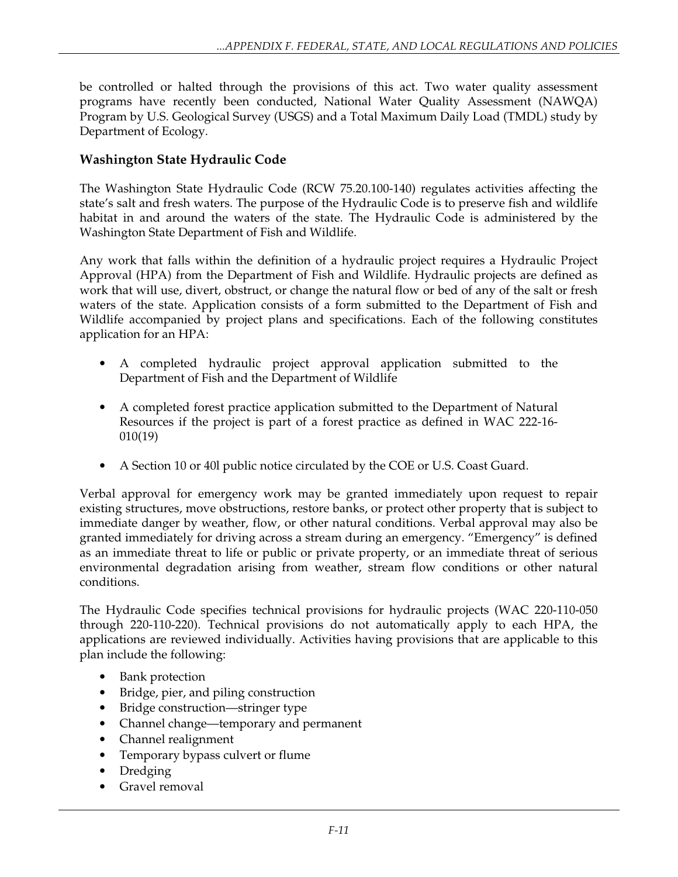be controlled or halted through the provisions of this act. Two water quality assessment programs have recently been conducted, National Water Quality Assessment (NAWQA) Program by U.S. Geological Survey (USGS) and a Total Maximum Daily Load (TMDL) study by Department of Ecology.

### **Washington State Hydraulic Code**

The Washington State Hydraulic Code (RCW 75.20.100-140) regulates activities affecting the state's salt and fresh waters. The purpose of the Hydraulic Code is to preserve fish and wildlife habitat in and around the waters of the state. The Hydraulic Code is administered by the Washington State Department of Fish and Wildlife.

Any work that falls within the definition of a hydraulic project requires a Hydraulic Project Approval (HPA) from the Department of Fish and Wildlife. Hydraulic projects are defined as work that will use, divert, obstruct, or change the natural flow or bed of any of the salt or fresh waters of the state. Application consists of a form submitted to the Department of Fish and Wildlife accompanied by project plans and specifications. Each of the following constitutes application for an HPA:

- A completed hydraulic project approval application submitted to the Department of Fish and the Department of Wildlife
- A completed forest practice application submitted to the Department of Natural Resources if the project is part of a forest practice as defined in WAC 222-16- 010(19)
- A Section 10 or 40l public notice circulated by the COE or U.S. Coast Guard.

Verbal approval for emergency work may be granted immediately upon request to repair existing structures, move obstructions, restore banks, or protect other property that is subject to immediate danger by weather, flow, or other natural conditions. Verbal approval may also be granted immediately for driving across a stream during an emergency. "Emergency" is defined as an immediate threat to life or public or private property, or an immediate threat of serious environmental degradation arising from weather, stream flow conditions or other natural conditions.

The Hydraulic Code specifies technical provisions for hydraulic projects (WAC 220-110-050 through 220-110-220). Technical provisions do not automatically apply to each HPA, the applications are reviewed individually. Activities having provisions that are applicable to this plan include the following:

- Bank protection
- Bridge, pier, and piling construction
- Bridge construction—stringer type
- Channel change—temporary and permanent
- Channel realignment
- Temporary bypass culvert or flume
- Dredging
- Gravel removal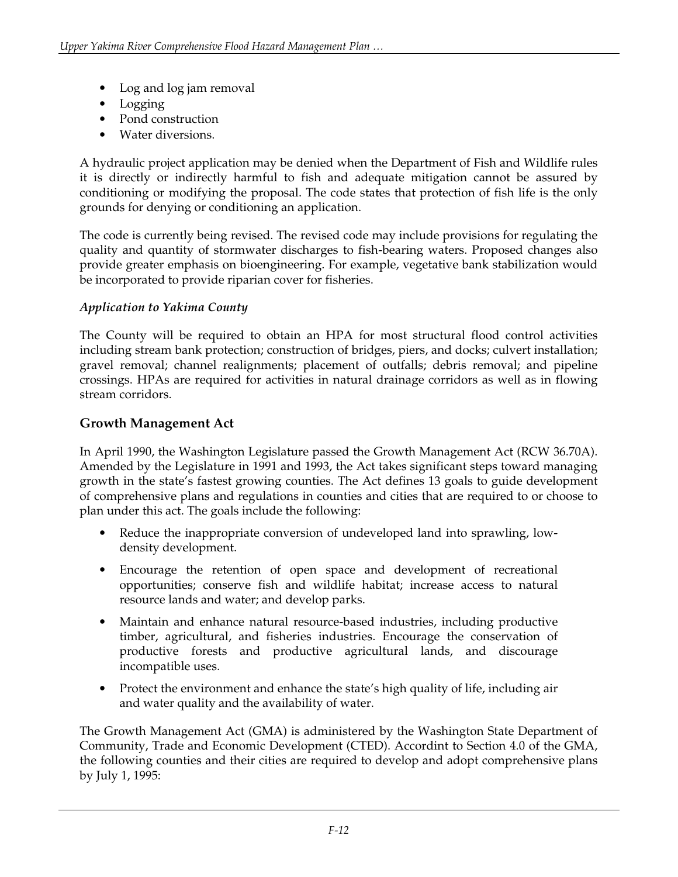- Log and log jam removal
- Logging
- Pond construction
- Water diversions.

A hydraulic project application may be denied when the Department of Fish and Wildlife rules it is directly or indirectly harmful to fish and adequate mitigation cannot be assured by conditioning or modifying the proposal. The code states that protection of fish life is the only grounds for denying or conditioning an application.

The code is currently being revised. The revised code may include provisions for regulating the quality and quantity of stormwater discharges to fish-bearing waters. Proposed changes also provide greater emphasis on bioengineering. For example, vegetative bank stabilization would be incorporated to provide riparian cover for fisheries.

### *Application to Yakima County*

The County will be required to obtain an HPA for most structural flood control activities including stream bank protection; construction of bridges, piers, and docks; culvert installation; gravel removal; channel realignments; placement of outfalls; debris removal; and pipeline crossings. HPAs are required for activities in natural drainage corridors as well as in flowing stream corridors.

### **Growth Management Act**

In April 1990, the Washington Legislature passed the Growth Management Act (RCW 36.70A). Amended by the Legislature in 1991 and 1993, the Act takes significant steps toward managing growth in the state's fastest growing counties. The Act defines 13 goals to guide development of comprehensive plans and regulations in counties and cities that are required to or choose to plan under this act. The goals include the following:

- Reduce the inappropriate conversion of undeveloped land into sprawling, lowdensity development.
- Encourage the retention of open space and development of recreational opportunities; conserve fish and wildlife habitat; increase access to natural resource lands and water; and develop parks.
- Maintain and enhance natural resource-based industries, including productive timber, agricultural, and fisheries industries. Encourage the conservation of productive forests and productive agricultural lands, and discourage incompatible uses.
- Protect the environment and enhance the state's high quality of life, including air and water quality and the availability of water.

The Growth Management Act (GMA) is administered by the Washington State Department of Community, Trade and Economic Development (CTED). Accordint to Section 4.0 of the GMA, the following counties and their cities are required to develop and adopt comprehensive plans by July 1, 1995: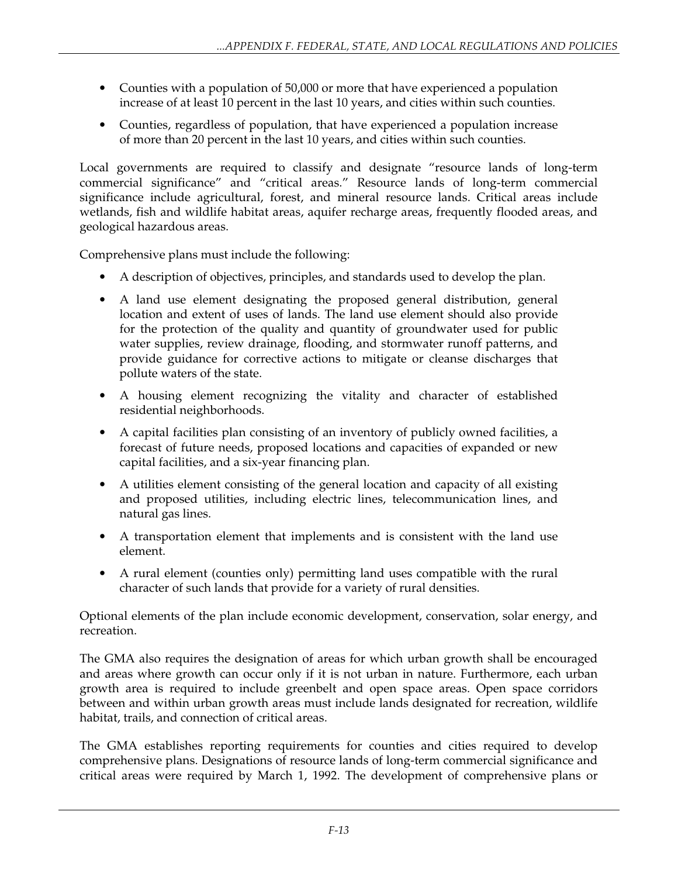- Counties with a population of 50,000 or more that have experienced a population increase of at least 10 percent in the last 10 years, and cities within such counties.
- Counties, regardless of population, that have experienced a population increase of more than 20 percent in the last 10 years, and cities within such counties.

Local governments are required to classify and designate "resource lands of long-term commercial significance" and "critical areas." Resource lands of long-term commercial significance include agricultural, forest, and mineral resource lands. Critical areas include wetlands, fish and wildlife habitat areas, aquifer recharge areas, frequently flooded areas, and geological hazardous areas.

Comprehensive plans must include the following:

- A description of objectives, principles, and standards used to develop the plan.
- A land use element designating the proposed general distribution, general location and extent of uses of lands. The land use element should also provide for the protection of the quality and quantity of groundwater used for public water supplies, review drainage, flooding, and stormwater runoff patterns, and provide guidance for corrective actions to mitigate or cleanse discharges that pollute waters of the state.
- A housing element recognizing the vitality and character of established residential neighborhoods.
- A capital facilities plan consisting of an inventory of publicly owned facilities, a forecast of future needs, proposed locations and capacities of expanded or new capital facilities, and a six-year financing plan.
- A utilities element consisting of the general location and capacity of all existing and proposed utilities, including electric lines, telecommunication lines, and natural gas lines.
- A transportation element that implements and is consistent with the land use element.
- A rural element (counties only) permitting land uses compatible with the rural character of such lands that provide for a variety of rural densities.

Optional elements of the plan include economic development, conservation, solar energy, and recreation.

The GMA also requires the designation of areas for which urban growth shall be encouraged and areas where growth can occur only if it is not urban in nature. Furthermore, each urban growth area is required to include greenbelt and open space areas. Open space corridors between and within urban growth areas must include lands designated for recreation, wildlife habitat, trails, and connection of critical areas.

The GMA establishes reporting requirements for counties and cities required to develop comprehensive plans. Designations of resource lands of long-term commercial significance and critical areas were required by March 1, 1992. The development of comprehensive plans or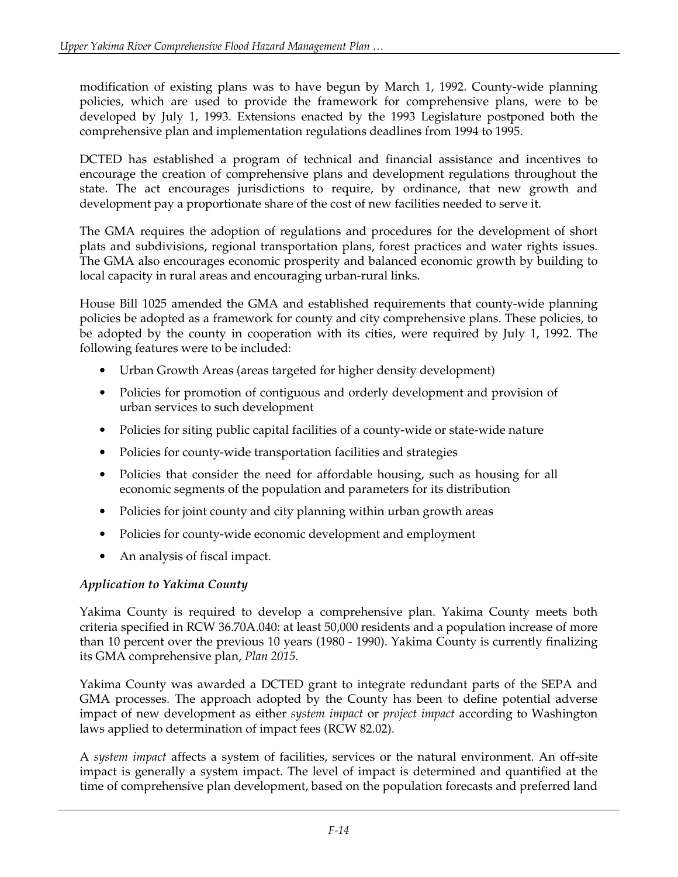modification of existing plans was to have begun by March 1, 1992. County-wide planning policies, which are used to provide the framework for comprehensive plans, were to be developed by July 1, 1993. Extensions enacted by the 1993 Legislature postponed both the comprehensive plan and implementation regulations deadlines from 1994 to 1995.

DCTED has established a program of technical and financial assistance and incentives to encourage the creation of comprehensive plans and development regulations throughout the state. The act encourages jurisdictions to require, by ordinance, that new growth and development pay a proportionate share of the cost of new facilities needed to serve it.

The GMA requires the adoption of regulations and procedures for the development of short plats and subdivisions, regional transportation plans, forest practices and water rights issues. The GMA also encourages economic prosperity and balanced economic growth by building to local capacity in rural areas and encouraging urban-rural links.

House Bill 1025 amended the GMA and established requirements that county-wide planning policies be adopted as a framework for county and city comprehensive plans. These policies, to be adopted by the county in cooperation with its cities, were required by July 1, 1992. The following features were to be included:

- Urban Growth Areas (areas targeted for higher density development)
- Policies for promotion of contiguous and orderly development and provision of urban services to such development
- Policies for siting public capital facilities of a county-wide or state-wide nature
- Policies for county-wide transportation facilities and strategies
- Policies that consider the need for affordable housing, such as housing for all economic segments of the population and parameters for its distribution
- Policies for joint county and city planning within urban growth areas
- Policies for county-wide economic development and employment
- An analysis of fiscal impact.

## *Application to Yakima County*

Yakima County is required to develop a comprehensive plan. Yakima County meets both criteria specified in RCW 36.70A.040: at least 50,000 residents and a population increase of more than 10 percent over the previous 10 years (1980 - 1990). Yakima County is currently finalizing its GMA comprehensive plan, *Plan 2015*.

Yakima County was awarded a DCTED grant to integrate redundant parts of the SEPA and GMA processes. The approach adopted by the County has been to define potential adverse impact of new development as either *system impact* or *project impact* according to Washington laws applied to determination of impact fees (RCW 82.02).

A *system impact* affects a system of facilities, services or the natural environment. An off-site impact is generally a system impact. The level of impact is determined and quantified at the time of comprehensive plan development, based on the population forecasts and preferred land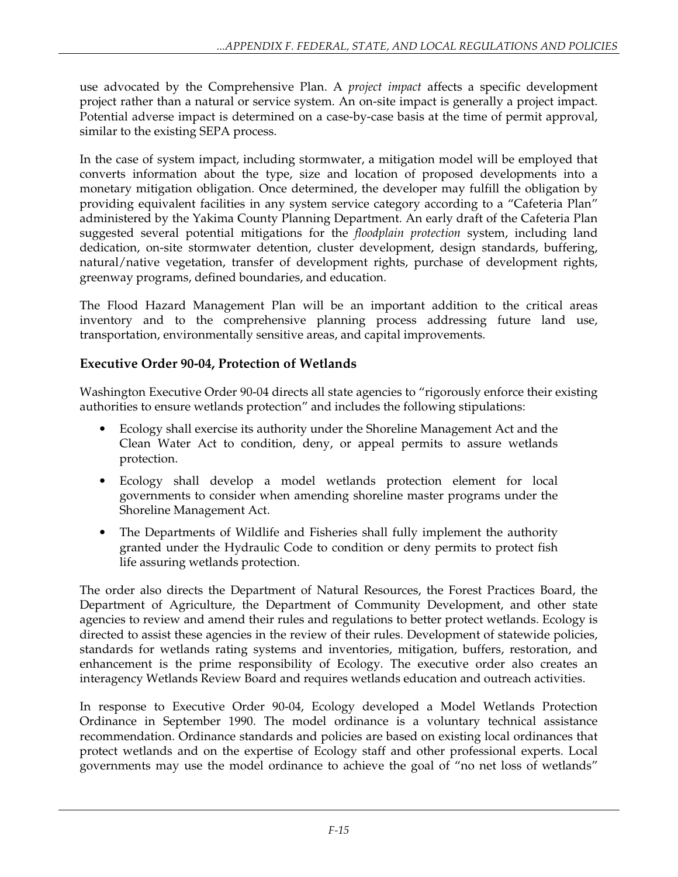use advocated by the Comprehensive Plan. A *project impact* affects a specific development project rather than a natural or service system. An on-site impact is generally a project impact. Potential adverse impact is determined on a case-by-case basis at the time of permit approval, similar to the existing SEPA process.

In the case of system impact, including stormwater, a mitigation model will be employed that converts information about the type, size and location of proposed developments into a monetary mitigation obligation. Once determined, the developer may fulfill the obligation by providing equivalent facilities in any system service category according to a "Cafeteria Plan" administered by the Yakima County Planning Department. An early draft of the Cafeteria Plan suggested several potential mitigations for the *floodplain protection* system, including land dedication, on-site stormwater detention, cluster development, design standards, buffering, natural/native vegetation, transfer of development rights, purchase of development rights, greenway programs, defined boundaries, and education.

The Flood Hazard Management Plan will be an important addition to the critical areas inventory and to the comprehensive planning process addressing future land use, transportation, environmentally sensitive areas, and capital improvements.

### **Executive Order 90-04, Protection of Wetlands**

Washington Executive Order 90-04 directs all state agencies to "rigorously enforce their existing authorities to ensure wetlands protection" and includes the following stipulations:

- Ecology shall exercise its authority under the Shoreline Management Act and the Clean Water Act to condition, deny, or appeal permits to assure wetlands protection.
- Ecology shall develop a model wetlands protection element for local governments to consider when amending shoreline master programs under the Shoreline Management Act.
- The Departments of Wildlife and Fisheries shall fully implement the authority granted under the Hydraulic Code to condition or deny permits to protect fish life assuring wetlands protection.

The order also directs the Department of Natural Resources, the Forest Practices Board, the Department of Agriculture, the Department of Community Development, and other state agencies to review and amend their rules and regulations to better protect wetlands. Ecology is directed to assist these agencies in the review of their rules. Development of statewide policies, standards for wetlands rating systems and inventories, mitigation, buffers, restoration, and enhancement is the prime responsibility of Ecology. The executive order also creates an interagency Wetlands Review Board and requires wetlands education and outreach activities.

In response to Executive Order 90-04, Ecology developed a Model Wetlands Protection Ordinance in September 1990. The model ordinance is a voluntary technical assistance recommendation. Ordinance standards and policies are based on existing local ordinances that protect wetlands and on the expertise of Ecology staff and other professional experts. Local governments may use the model ordinance to achieve the goal of "no net loss of wetlands"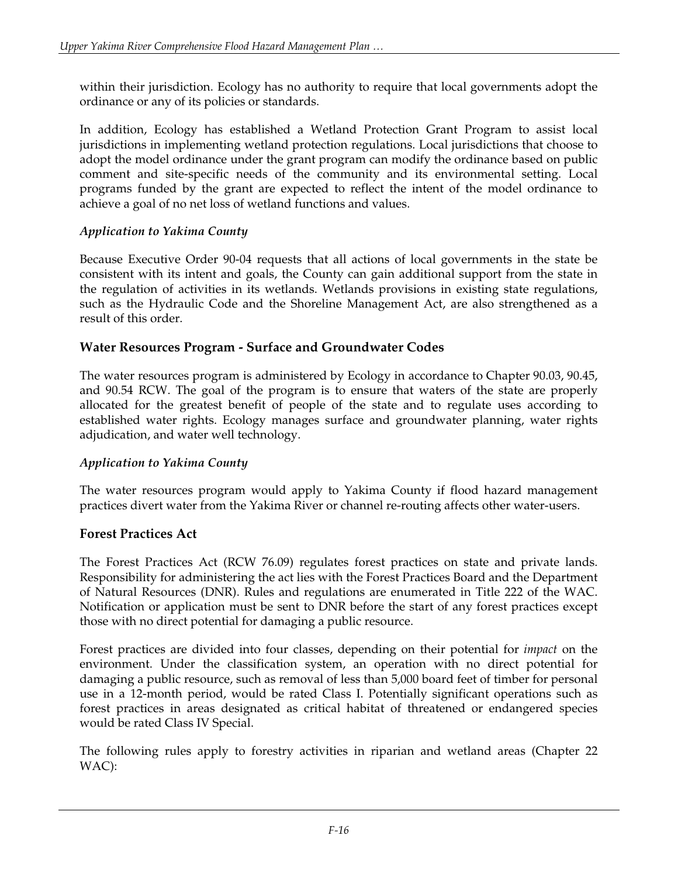within their jurisdiction. Ecology has no authority to require that local governments adopt the ordinance or any of its policies or standards.

In addition, Ecology has established a Wetland Protection Grant Program to assist local jurisdictions in implementing wetland protection regulations. Local jurisdictions that choose to adopt the model ordinance under the grant program can modify the ordinance based on public comment and site-specific needs of the community and its environmental setting. Local programs funded by the grant are expected to reflect the intent of the model ordinance to achieve a goal of no net loss of wetland functions and values.

### *Application to Yakima County*

Because Executive Order 90-04 requests that all actions of local governments in the state be consistent with its intent and goals, the County can gain additional support from the state in the regulation of activities in its wetlands. Wetlands provisions in existing state regulations, such as the Hydraulic Code and the Shoreline Management Act, are also strengthened as a result of this order.

## **Water Resources Program - Surface and Groundwater Codes**

The water resources program is administered by Ecology in accordance to Chapter 90.03, 90.45, and 90.54 RCW. The goal of the program is to ensure that waters of the state are properly allocated for the greatest benefit of people of the state and to regulate uses according to established water rights. Ecology manages surface and groundwater planning, water rights adjudication, and water well technology.

### *Application to Yakima County*

The water resources program would apply to Yakima County if flood hazard management practices divert water from the Yakima River or channel re-routing affects other water-users.

## **Forest Practices Act**

The Forest Practices Act (RCW 76.09) regulates forest practices on state and private lands. Responsibility for administering the act lies with the Forest Practices Board and the Department of Natural Resources (DNR). Rules and regulations are enumerated in Title 222 of the WAC. Notification or application must be sent to DNR before the start of any forest practices except those with no direct potential for damaging a public resource.

Forest practices are divided into four classes, depending on their potential for *impact* on the environment. Under the classification system, an operation with no direct potential for damaging a public resource, such as removal of less than 5,000 board feet of timber for personal use in a 12-month period, would be rated Class I. Potentially significant operations such as forest practices in areas designated as critical habitat of threatened or endangered species would be rated Class IV Special.

The following rules apply to forestry activities in riparian and wetland areas (Chapter 22 WAC):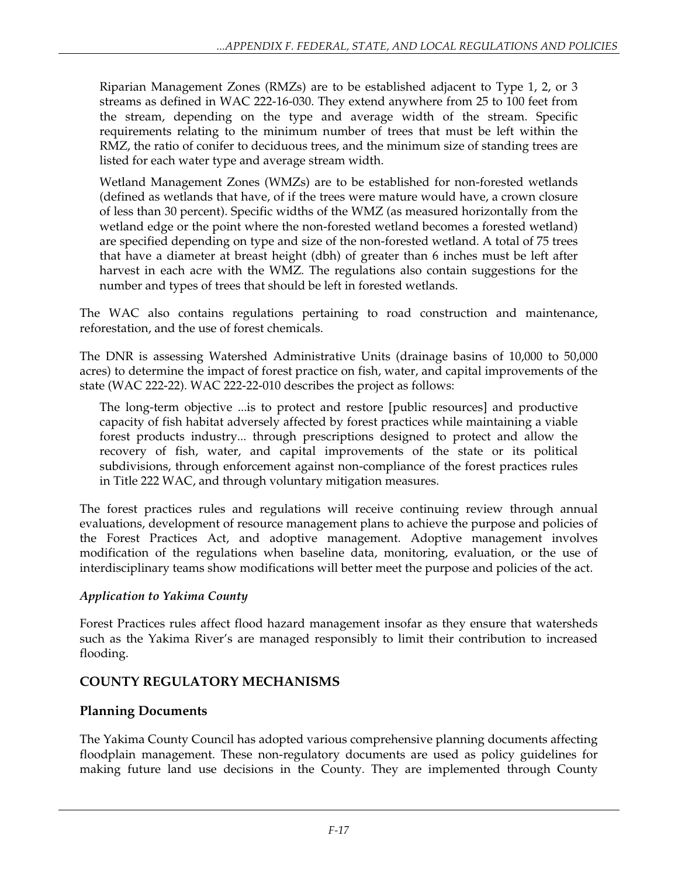Riparian Management Zones (RMZs) are to be established adjacent to Type 1, 2, or 3 streams as defined in WAC 222-16-030. They extend anywhere from 25 to 100 feet from the stream, depending on the type and average width of the stream. Specific requirements relating to the minimum number of trees that must be left within the RMZ, the ratio of conifer to deciduous trees, and the minimum size of standing trees are listed for each water type and average stream width.

Wetland Management Zones (WMZs) are to be established for non-forested wetlands (defined as wetlands that have, of if the trees were mature would have, a crown closure of less than 30 percent). Specific widths of the WMZ (as measured horizontally from the wetland edge or the point where the non-forested wetland becomes a forested wetland) are specified depending on type and size of the non-forested wetland. A total of 75 trees that have a diameter at breast height (dbh) of greater than 6 inches must be left after harvest in each acre with the WMZ. The regulations also contain suggestions for the number and types of trees that should be left in forested wetlands.

The WAC also contains regulations pertaining to road construction and maintenance, reforestation, and the use of forest chemicals.

The DNR is assessing Watershed Administrative Units (drainage basins of 10,000 to 50,000 acres) to determine the impact of forest practice on fish, water, and capital improvements of the state (WAC 222-22). WAC 222-22-010 describes the project as follows:

The long-term objective ...is to protect and restore [public resources] and productive capacity of fish habitat adversely affected by forest practices while maintaining a viable forest products industry... through prescriptions designed to protect and allow the recovery of fish, water, and capital improvements of the state or its political subdivisions, through enforcement against non-compliance of the forest practices rules in Title 222 WAC, and through voluntary mitigation measures.

The forest practices rules and regulations will receive continuing review through annual evaluations, development of resource management plans to achieve the purpose and policies of the Forest Practices Act, and adoptive management. Adoptive management involves modification of the regulations when baseline data, monitoring, evaluation, or the use of interdisciplinary teams show modifications will better meet the purpose and policies of the act.

### *Application to Yakima County*

Forest Practices rules affect flood hazard management insofar as they ensure that watersheds such as the Yakima River's are managed responsibly to limit their contribution to increased flooding.

## **COUNTY REGULATORY MECHANISMS**

## **Planning Documents**

The Yakima County Council has adopted various comprehensive planning documents affecting floodplain management. These non-regulatory documents are used as policy guidelines for making future land use decisions in the County. They are implemented through County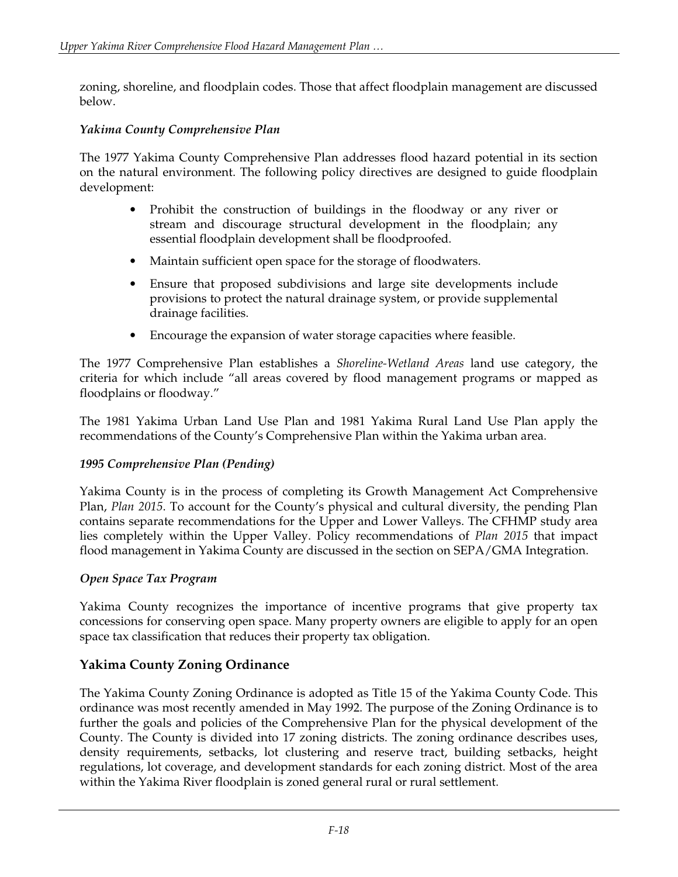zoning, shoreline, and floodplain codes. Those that affect floodplain management are discussed below.

#### *Yakima County Comprehensive Plan*

The 1977 Yakima County Comprehensive Plan addresses flood hazard potential in its section on the natural environment. The following policy directives are designed to guide floodplain development:

- Prohibit the construction of buildings in the floodway or any river or stream and discourage structural development in the floodplain; any essential floodplain development shall be floodproofed.
- Maintain sufficient open space for the storage of floodwaters.
- Ensure that proposed subdivisions and large site developments include provisions to protect the natural drainage system, or provide supplemental drainage facilities.
- Encourage the expansion of water storage capacities where feasible.

The 1977 Comprehensive Plan establishes a *Shoreline-Wetland Areas* land use category, the criteria for which include "all areas covered by flood management programs or mapped as floodplains or floodway."

The 1981 Yakima Urban Land Use Plan and 1981 Yakima Rural Land Use Plan apply the recommendations of the County's Comprehensive Plan within the Yakima urban area.

#### *1995 Comprehensive Plan (Pending)*

Yakima County is in the process of completing its Growth Management Act Comprehensive Plan, *Plan 2015*. To account for the County's physical and cultural diversity, the pending Plan contains separate recommendations for the Upper and Lower Valleys. The CFHMP study area lies completely within the Upper Valley. Policy recommendations of *Plan 2015* that impact flood management in Yakima County are discussed in the section on SEPA/GMA Integration.

#### *Open Space Tax Program*

Yakima County recognizes the importance of incentive programs that give property tax concessions for conserving open space. Many property owners are eligible to apply for an open space tax classification that reduces their property tax obligation.

### **Yakima County Zoning Ordinance**

The Yakima County Zoning Ordinance is adopted as Title 15 of the Yakima County Code. This ordinance was most recently amended in May 1992. The purpose of the Zoning Ordinance is to further the goals and policies of the Comprehensive Plan for the physical development of the County. The County is divided into 17 zoning districts. The zoning ordinance describes uses, density requirements, setbacks, lot clustering and reserve tract, building setbacks, height regulations, lot coverage, and development standards for each zoning district. Most of the area within the Yakima River floodplain is zoned general rural or rural settlement.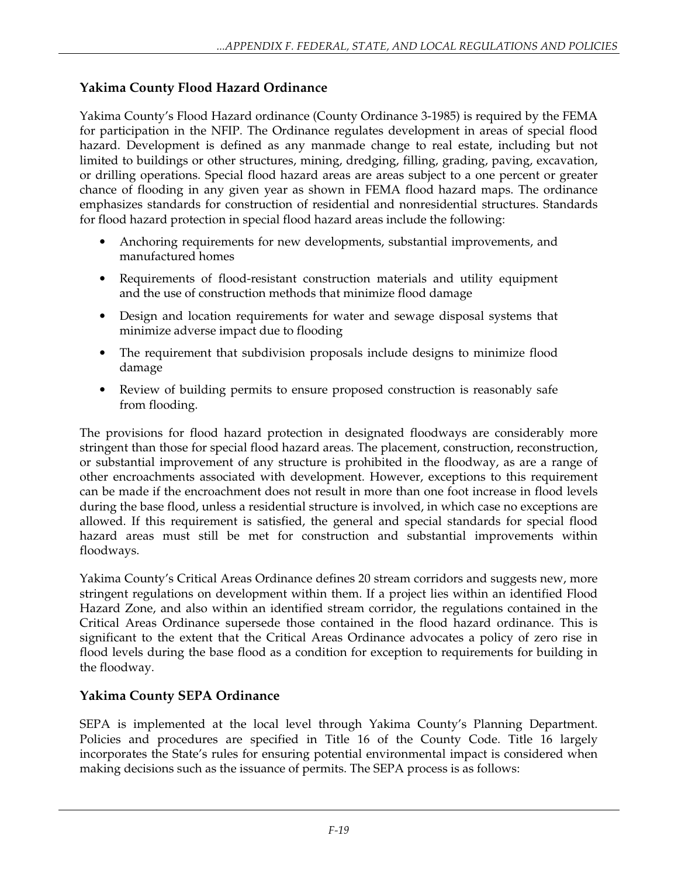## **Yakima County Flood Hazard Ordinance**

Yakima County's Flood Hazard ordinance (County Ordinance 3-1985) is required by the FEMA for participation in the NFIP. The Ordinance regulates development in areas of special flood hazard. Development is defined as any manmade change to real estate, including but not limited to buildings or other structures, mining, dredging, filling, grading, paving, excavation, or drilling operations. Special flood hazard areas are areas subject to a one percent or greater chance of flooding in any given year as shown in FEMA flood hazard maps. The ordinance emphasizes standards for construction of residential and nonresidential structures. Standards for flood hazard protection in special flood hazard areas include the following:

- Anchoring requirements for new developments, substantial improvements, and manufactured homes
- Requirements of flood-resistant construction materials and utility equipment and the use of construction methods that minimize flood damage
- Design and location requirements for water and sewage disposal systems that minimize adverse impact due to flooding
- The requirement that subdivision proposals include designs to minimize flood damage
- Review of building permits to ensure proposed construction is reasonably safe from flooding.

The provisions for flood hazard protection in designated floodways are considerably more stringent than those for special flood hazard areas. The placement, construction, reconstruction, or substantial improvement of any structure is prohibited in the floodway, as are a range of other encroachments associated with development. However, exceptions to this requirement can be made if the encroachment does not result in more than one foot increase in flood levels during the base flood, unless a residential structure is involved, in which case no exceptions are allowed. If this requirement is satisfied, the general and special standards for special flood hazard areas must still be met for construction and substantial improvements within floodways.

Yakima County's Critical Areas Ordinance defines 20 stream corridors and suggests new, more stringent regulations on development within them. If a project lies within an identified Flood Hazard Zone, and also within an identified stream corridor, the regulations contained in the Critical Areas Ordinance supersede those contained in the flood hazard ordinance. This is significant to the extent that the Critical Areas Ordinance advocates a policy of zero rise in flood levels during the base flood as a condition for exception to requirements for building in the floodway.

### **Yakima County SEPA Ordinance**

SEPA is implemented at the local level through Yakima County's Planning Department. Policies and procedures are specified in Title 16 of the County Code. Title 16 largely incorporates the State's rules for ensuring potential environmental impact is considered when making decisions such as the issuance of permits. The SEPA process is as follows: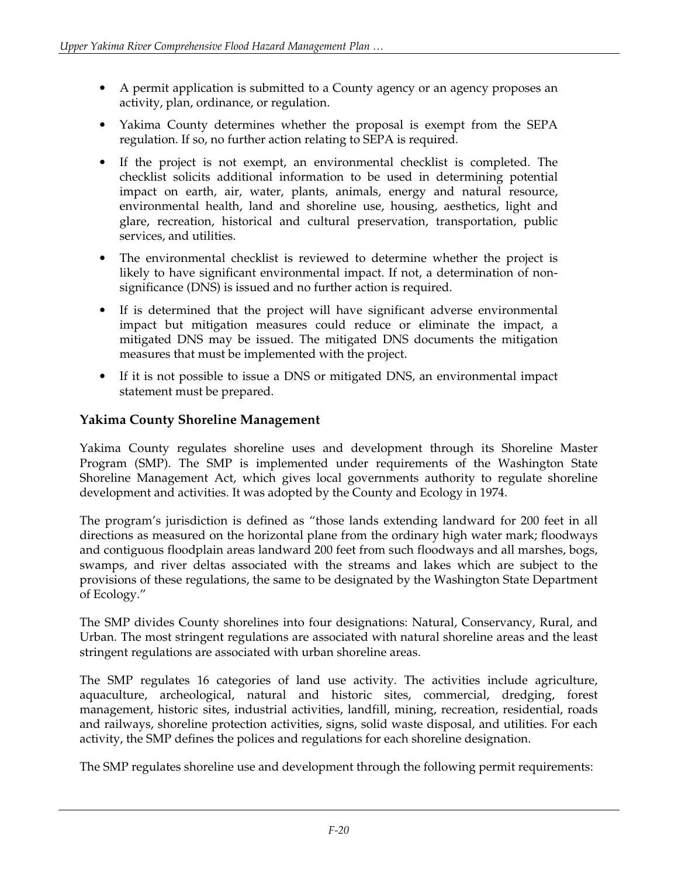- A permit application is submitted to a County agency or an agency proposes an activity, plan, ordinance, or regulation.
- Yakima County determines whether the proposal is exempt from the SEPA regulation. If so, no further action relating to SEPA is required.
- If the project is not exempt, an environmental checklist is completed. The checklist solicits additional information to be used in determining potential impact on earth, air, water, plants, animals, energy and natural resource, environmental health, land and shoreline use, housing, aesthetics, light and glare, recreation, historical and cultural preservation, transportation, public services, and utilities.
- The environmental checklist is reviewed to determine whether the project is likely to have significant environmental impact. If not, a determination of nonsignificance (DNS) is issued and no further action is required.
- If is determined that the project will have significant adverse environmental impact but mitigation measures could reduce or eliminate the impact, a mitigated DNS may be issued. The mitigated DNS documents the mitigation measures that must be implemented with the project.
- If it is not possible to issue a DNS or mitigated DNS, an environmental impact statement must be prepared.

## **Yakima County Shoreline Management**

Yakima County regulates shoreline uses and development through its Shoreline Master Program (SMP). The SMP is implemented under requirements of the Washington State Shoreline Management Act, which gives local governments authority to regulate shoreline development and activities. It was adopted by the County and Ecology in 1974.

The program's jurisdiction is defined as "those lands extending landward for 200 feet in all directions as measured on the horizontal plane from the ordinary high water mark; floodways and contiguous floodplain areas landward 200 feet from such floodways and all marshes, bogs, swamps, and river deltas associated with the streams and lakes which are subject to the provisions of these regulations, the same to be designated by the Washington State Department of Ecology."

The SMP divides County shorelines into four designations: Natural, Conservancy, Rural, and Urban. The most stringent regulations are associated with natural shoreline areas and the least stringent regulations are associated with urban shoreline areas.

The SMP regulates 16 categories of land use activity. The activities include agriculture, aquaculture, archeological, natural and historic sites, commercial, dredging, forest management, historic sites, industrial activities, landfill, mining, recreation, residential, roads and railways, shoreline protection activities, signs, solid waste disposal, and utilities. For each activity, the SMP defines the polices and regulations for each shoreline designation.

The SMP regulates shoreline use and development through the following permit requirements: